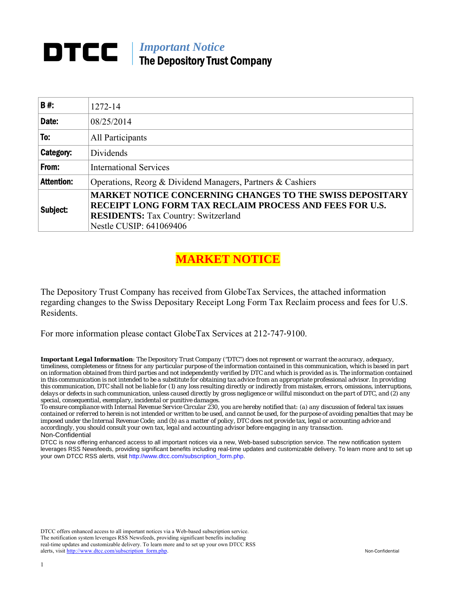# *Important Notice*  The Depository Trust Company

| B#:               | 1272-14                                                                                                                           |
|-------------------|-----------------------------------------------------------------------------------------------------------------------------------|
| Date:             | 08/25/2014                                                                                                                        |
| To:               | All Participants                                                                                                                  |
| Category:         | Dividends                                                                                                                         |
| From:             | <b>International Services</b>                                                                                                     |
| <b>Attention:</b> | Operations, Reorg & Dividend Managers, Partners & Cashiers                                                                        |
| Subject:          | <b>MARKET NOTICE CONCERNING CHANGES TO THE SWISS DEPOSITARY</b><br><b>RECEIPT LONG FORM TAX RECLAIM PROCESS AND FEES FOR U.S.</b> |
|                   | <b>RESIDENTS:</b> Tax Country: Switzerland<br>Nestle CUSIP: 641069406                                                             |

# **MARKET NOTICE**

The Depository Trust Company has received from GlobeTax Services, the attached information regarding changes to the Swiss Depositary Receipt Long Form Tax Reclaim process and fees for U.S. Residents.

For more information please contact GlobeTax Services at 212‐747‐9100.

*Important Legal Information: The Depository Trust Company ("DTC") does not represent or warrant the accuracy, adequacy, timeliness, completeness or fitness for any particular purpose of the information contained in this communication, which is based in part on information obtained from third parties and not independently verified by DTC and which is provided as is. The information contained in this communication is not intended to be a substitute for obtaining tax advice from an appropriate professional advisor. In providing this communication, DTC shall not be liable for (1) any loss resulting directly or indirectly from mistakes, errors, omissions, interruptions, delays or defects in such communication, unless caused directly by gross negligence or willful misconduct on the part of DTC, and (2) any special, consequential, exemplary, incidental or punitive damages.* 

*To ensure compliance with Internal Revenue Service Circular 230, you are hereby notified that: (a) any discussion of federal tax issues contained or referred to herein is not intended or written to be used, and cannot be used, for the purpose of avoiding penalties that may be imposed under the Internal Revenue Code; and (b) as a matter of policy, DTC does not provide tax, legal or accounting advice and accordingly, you should consult your own tax, legal and accounting advisor before engaging in any transaction.* Non-Confidential

DTCC is now offering enhanced access to all important notices via a new, Web-based subscription service. The new notification system leverages RSS Newsfeeds, providing significant benefits including real-time updates and customizable delivery. To learn more and to set up your own DTCC RSS alerts, visit http://www.dtcc.com/subscription\_form.php.

DTCC offers enhanced access to all important notices via a Web-based subscription service. The notification system leverages RSS Newsfeeds, providing significant benefits including real-time updates and customizable delivery. To learn more and to set up your own DTCC RSS alerts, visit http://www.dtcc.com/subscription\_form.php. Non-Confidential